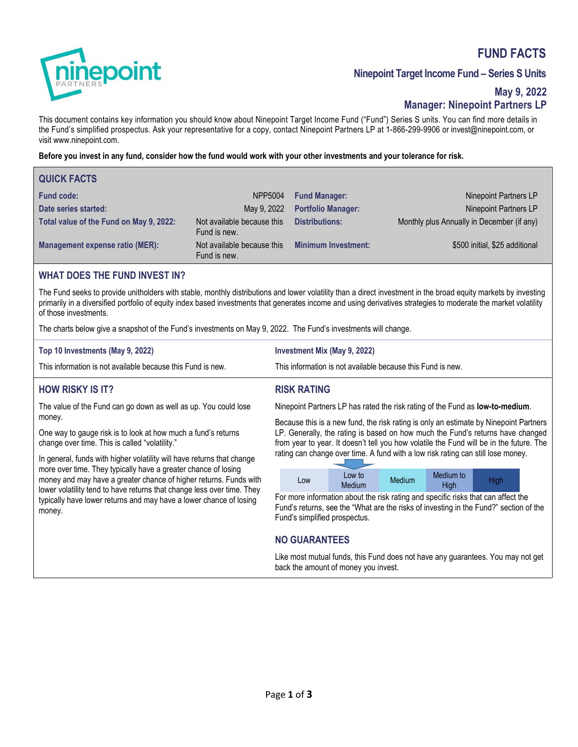# **FUND FACTS**



# **Ninepoint Target Income Fund – Series S Units**

# **May 9, 2022 Manager: Ninepoint Partners LP**

This document contains key information you should know about Ninepoint Target Income Fund ("Fund") Series S units. You can find more details in the Fund's simplified prospectus. Ask your representative for a copy, contact Ninepoint Partners LP at 1-866-299-9906 or invest@ninepoint.com, or visit www.ninepoint.com.

### **Before you invest in any fund, consider how the fund would work with your other investments and your tolerance for risk.**

| <b>QUICK FACTS</b>                      |                                            |                            |                                            |
|-----------------------------------------|--------------------------------------------|----------------------------|--------------------------------------------|
| <b>Fund code:</b>                       | NPP5004                                    | <b>Fund Manager:</b>       | Ninepoint Partners LP                      |
| Date series started:                    | May 9, 2022                                | <b>Portfolio Manager:</b>  | Ninepoint Partners LP                      |
| Total value of the Fund on May 9, 2022: | Not available because this<br>Fund is new. | <b>Distributions:</b>      | Monthly plus Annually in December (if any) |
| <b>Management expense ratio (MER):</b>  | Not available because this<br>Fund is new. | <b>Minimum Investment:</b> | \$500 initial, \$25 additional             |

### **WHAT DOES THE FUND INVEST IN?**

The Fund seeks to provide unitholders with stable, monthly distributions and lower volatility than a direct investment in the broad equity markets by investing primarily in a diversified portfolio of equity index based investments that generates income and using derivatives strategies to moderate the market volatility of those investments.

**RISK RATING** 

The charts below give a snapshot of the Fund's investments on May 9, 2022. The Fund's investments will change.

| Top 10 Investments (May 9, 2022)                            | Investment Mix (May 9, 2022)                                |
|-------------------------------------------------------------|-------------------------------------------------------------|
| This information is not available because this Fund is new. | This information is not available because this Fund is new. |

# **HOW RISKY IS IT?**

The value of the Fund can go down as well as up. You could lose money.

One way to gauge risk is to look at how much a fund's returns change over time. This is called "volatility."

In general, funds with higher volatility will have returns that change more over time. They typically have a greater chance of losing money and may have a greater chance of higher returns. Funds with lower volatility tend to have returns that change less over time. They typically have lower returns and may have a lower chance of losing money.

Ninepoint Partners LP has rated the risk rating of the Fund as **low-to-medium**.

Because this is a new fund, the risk rating is only an estimate by Ninepoint Partners LP. Generally, the rating is based on how much the Fund's returns have changed from year to year. It doesn't tell you how volatile the Fund will be in the future. The rating can change over time. A fund with a low risk rating can still lose money.

| Low | Low to<br>Medium | Medium | Medium to<br>High | Hiah |
|-----|------------------|--------|-------------------|------|

For more information about the risk rating and specific risks that can affect the Fund's returns, see the "What are the risks of investing in the Fund?" section of the Fund's simplified prospectus.

# **NO GUARANTEES**

Like most mutual funds, this Fund does not have any guarantees. You may not get back the amount of money you invest.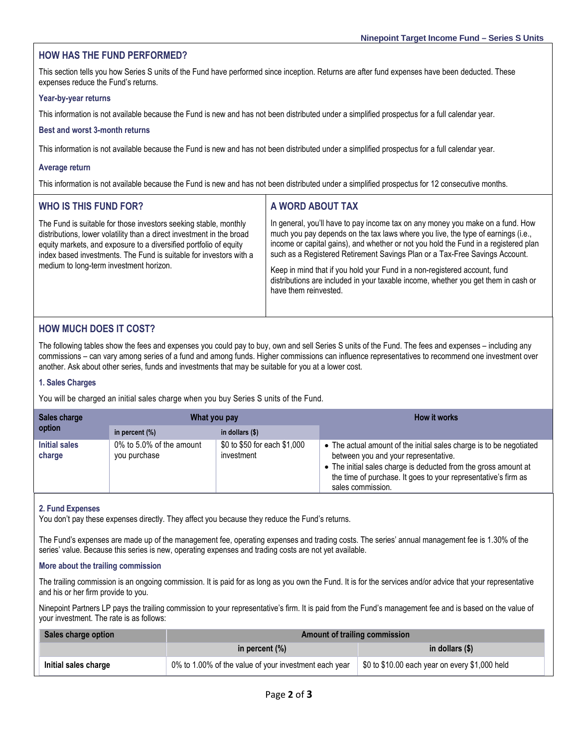### **HOW HAS THE FUND PERFORMED?**

This section tells you how Series S units of the Fund have performed since inception. Returns are after fund expenses have been deducted. These expenses reduce the Fund's returns.

#### **Year-by-year returns**

This information is not available because the Fund is new and has not been distributed under a simplified prospectus for a full calendar year.

#### **Best and worst 3-month returns**

This information is not available because the Fund is new and has not been distributed under a simplified prospectus for a full calendar year.

#### **Average return**

This information is not available because the Fund is new and has not been distributed under a simplified prospectus for 12 consecutive months.

| <b>WHO IS THIS FUND FOR?</b>                                                                                                                                                                                                                                                                                                    | A WORD ABOUT TAX                                                                                                                                                                                                                                                                                                                                                                                                                                                                                                                     |
|---------------------------------------------------------------------------------------------------------------------------------------------------------------------------------------------------------------------------------------------------------------------------------------------------------------------------------|--------------------------------------------------------------------------------------------------------------------------------------------------------------------------------------------------------------------------------------------------------------------------------------------------------------------------------------------------------------------------------------------------------------------------------------------------------------------------------------------------------------------------------------|
| The Fund is suitable for those investors seeking stable, monthly<br>distributions, lower volatility than a direct investment in the broad<br>equity markets, and exposure to a diversified portfolio of equity<br>index based investments. The Fund is suitable for investors with a<br>medium to long-term investment horizon. | In general, you'll have to pay income tax on any money you make on a fund. How<br>much you pay depends on the tax laws where you live, the type of earnings (i.e.,<br>income or capital gains), and whether or not you hold the Fund in a registered plan<br>such as a Registered Retirement Savings Plan or a Tax-Free Savings Account.<br>Keep in mind that if you hold your Fund in a non-registered account, fund<br>distributions are included in your taxable income, whether you get them in cash or<br>have them reinvested. |

### **HOW MUCH DOES IT COST?**

The following tables show the fees and expenses you could pay to buy, own and sell Series S units of the Fund. The fees and expenses – including any commissions – can vary among series of a fund and among funds. Higher commissions can influence representatives to recommend one investment over another. Ask about other series, funds and investments that may be suitable for you at a lower cost.

#### **1. Sales Charges**

You will be charged an initial sales charge when you buy Series S units of the Fund.

| Sales charge<br>option  | What you pay                             |                                            | <b>How it works</b>                                                                                                                                                                                                                                                   |
|-------------------------|------------------------------------------|--------------------------------------------|-----------------------------------------------------------------------------------------------------------------------------------------------------------------------------------------------------------------------------------------------------------------------|
|                         | in percent $(\%)$                        | in dollars $(\$)$                          |                                                                                                                                                                                                                                                                       |
| Initial sales<br>charge | 0% to 5.0% of the amount<br>you purchase | \$0 to \$50 for each \$1,000<br>investment | • The actual amount of the initial sales charge is to be negotiated<br>between you and your representative.<br>• The initial sales charge is deducted from the gross amount at<br>the time of purchase. It goes to your representative's firm as<br>sales commission. |

#### **2. Fund Expenses**

You don't pay these expenses directly. They affect you because they reduce the Fund's returns.

The Fund's expenses are made up of the management fee, operating expenses and trading costs. The series' annual management fee is 1.30% of the series' value. Because this series is new, operating expenses and trading costs are not yet available.

#### **More about the trailing commission**

The trailing commission is an ongoing commission. It is paid for as long as you own the Fund. It is for the services and/or advice that your representative and his or her firm provide to you.

Ninepoint Partners LP pays the trailing commission to your representative's firm. It is paid from the Fund's management fee and is based on the value of your investment. The rate is as follows:

| Sales charge option  | <b>Amount of trailing commission</b>                  |                                                |  |
|----------------------|-------------------------------------------------------|------------------------------------------------|--|
|                      | in percent $(\%)$                                     | in dollars (\$)                                |  |
| Initial sales charge | 0% to 1.00% of the value of your investment each year | \$0 to \$10.00 each year on every \$1,000 held |  |